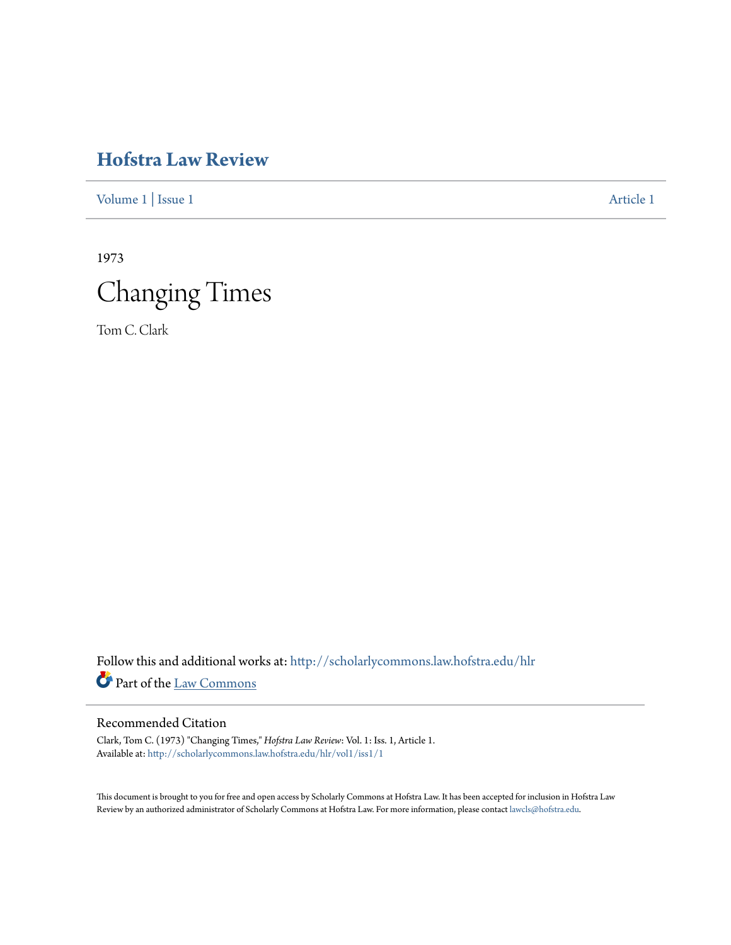[Volume 1](http://scholarlycommons.law.hofstra.edu/hlr/vol1?utm_source=scholarlycommons.law.hofstra.edu%2Fhlr%2Fvol1%2Fiss1%2F1&utm_medium=PDF&utm_campaign=PDFCoverPages) | [Issue 1](http://scholarlycommons.law.hofstra.edu/hlr/vol1/iss1?utm_source=scholarlycommons.law.hofstra.edu%2Fhlr%2Fvol1%2Fiss1%2F1&utm_medium=PDF&utm_campaign=PDFCoverPages) [Article 1](http://scholarlycommons.law.hofstra.edu/hlr/vol1/iss1/1?utm_source=scholarlycommons.law.hofstra.edu%2Fhlr%2Fvol1%2Fiss1%2F1&utm_medium=PDF&utm_campaign=PDFCoverPages)

1973 Changing Times

Tom C. Clark

Follow this and additional works at: [http://scholarlycommons.law.hofstra.edu/hlr](http://scholarlycommons.law.hofstra.edu/hlr?utm_source=scholarlycommons.law.hofstra.edu%2Fhlr%2Fvol1%2Fiss1%2F1&utm_medium=PDF&utm_campaign=PDFCoverPages) Part of the [Law Commons](http://network.bepress.com/hgg/discipline/578?utm_source=scholarlycommons.law.hofstra.edu%2Fhlr%2Fvol1%2Fiss1%2F1&utm_medium=PDF&utm_campaign=PDFCoverPages)

# Recommended Citation

Clark, Tom C. (1973) "Changing Times," *Hofstra Law Review*: Vol. 1: Iss. 1, Article 1. Available at: [http://scholarlycommons.law.hofstra.edu/hlr/vol1/iss1/1](http://scholarlycommons.law.hofstra.edu/hlr/vol1/iss1/1?utm_source=scholarlycommons.law.hofstra.edu%2Fhlr%2Fvol1%2Fiss1%2F1&utm_medium=PDF&utm_campaign=PDFCoverPages)

This document is brought to you for free and open access by Scholarly Commons at Hofstra Law. It has been accepted for inclusion in Hofstra Law Review by an authorized administrator of Scholarly Commons at Hofstra Law. For more information, please contact [lawcls@hofstra.edu](mailto:lawcls@hofstra.edu).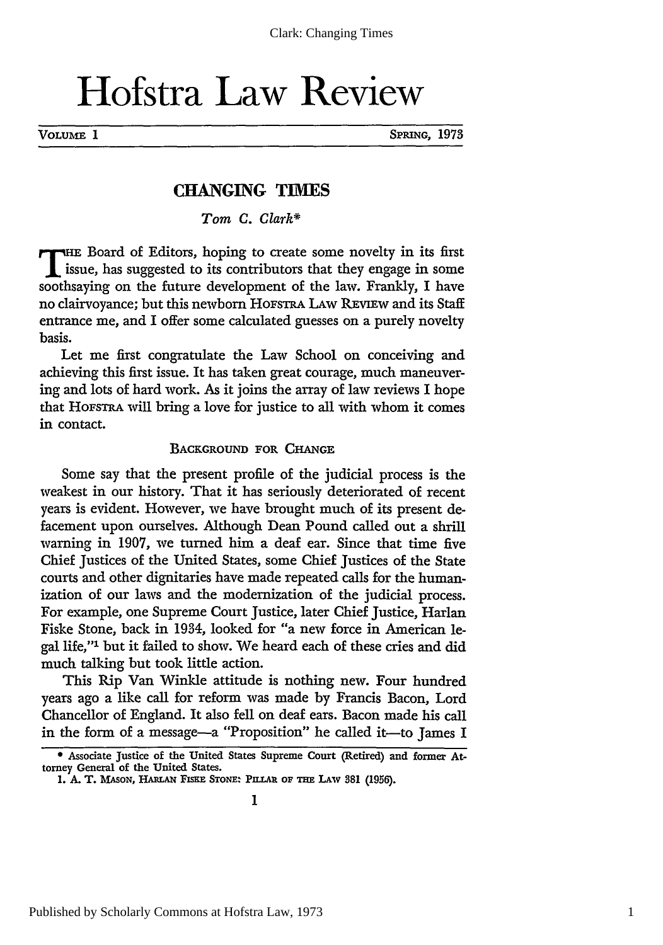VOLUME 1 SPRING, 1973

# **CHANGING TIMES**

*Tom C. Clark\**

THE Board of Editors, hoping to create some novelty in its first issue, has suggested to its contributors that they engage in some soothsaying on the future development of the law. Frankly, I have no clairvoyance; but this newborn HOFSTRA LAW REVIEW and its Staff entrance me, and I offer some calculated guesses on a purely novelty basis.

Let me first congratulate the Law School on conceiving and achieving this first issue. It has taken great courage, much maneuvering and lots of hard work. As it joins the array of law reviews I hope that HoFsTRA will bring a love for justice to all with whom it comes in contact.

#### BACKGROUND FOR CHANGE

Some say that the present profile of the judicial process is the weakest in our history. That it has seriously deteriorated of recent years is evident. However, we have brought much of its present defacement upon ourselves. Although Dean Pound called out a shrill warning in **1907,** we turned him a deaf ear. Since that time five Chief Justices of the United States, some Chief Justices of the State courts and other dignitaries have made repeated calls for the humanization of our laws and the modernization of the judicial process. For example, one Supreme Court Justice, later Chief Justice, Harlan Fiske Stone, back in 1934, looked for "a new force in American legal life,"' but it failed to show. We heard each of these cries and did much talking but took little action.

This Rip Van Winkle attitude is nothing new. Four hundred years ago a like call for reform was made by Francis Bacon, Lord Chancellor of England. It also fell on deaf ears. Bacon made his call in the form of a message-a "Proposition" he called it-to James I

**<sup>\*</sup>** Associate Justice of the United States Supreme Court (Retired) and former Attorney General of the United States.

<sup>1.</sup> A. T. MASON, HARLAN FISKE STONE: PILLAR OF THE LAW 381 (1956).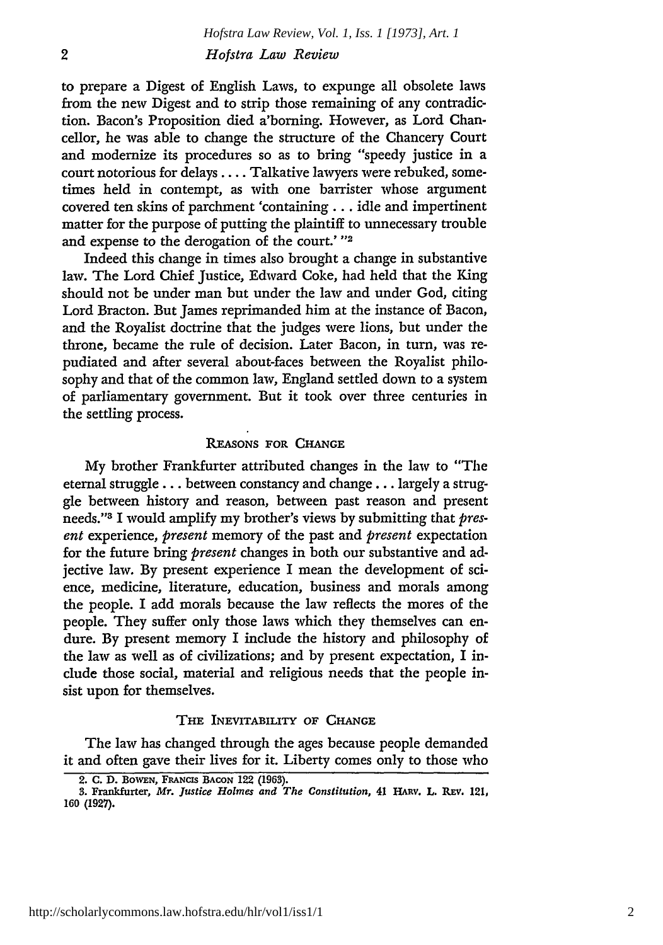to prepare a Digest of English Laws, to expunge all obsolete laws from the new Digest and to strip those remaining of any contradiction. Bacon's Proposition died a'borning. However, as Lord Chancellor, he was able to change the structure of the Chancery Court and modernize its procedures so as to bring "speedy justice in a court notorious for delays .... Talkative lawyers were rebuked, sometimes held in contempt, as with one barrister whose argument covered ten skins of parchment 'containing... idle and impertinent matter for the purpose of putting the plaintiff to unnecessary trouble and expense to the derogation of the court.' **"2**

Indeed this change in times also brought a change in substantive law. The Lord Chief Justice, Edward Coke, had held that the King should not be under man but under the law and under God, citing Lord Bracton. But James reprimanded him at the instance of Bacon, and the Royalist doctrine that the judges were lions, but under the throne, became the rule of decision. Later Bacon, in turn, was repudiated and after several about-faces between the Royalist philosophy and that of the common law, England settled down to a system of parliamentary government. But it took over three centuries in the settling process.

#### **REASONS** FOR **CHANGE**

*My* brother Frankfurter attributed changes in the law to "The eternal struggle **...** between constancy and change.., largely a struggle between history and reason, between past reason and present needs." 3 I would amplify my brother's views by submitting that *present* experience, *present* memory of the past and *present* expectation for the future bring *present* changes in both our substantive and adjective law. By present experience I mean the development of science, medicine, literature, education, business and morals among the people. I add morals because the law reflects the mores of the people. They suffer only those laws which they themselves can endure. By present memory I include the history and philosophy of the law as well as of civilizations; and by present expectation, I include those social, material and religious needs that the people insist upon for themselves.

#### **THE INEVITABILITY OF CHANGE**

The law has changed through the ages because people demanded it and often gave their lives for it. Liberty comes only to those who

**<sup>2.</sup> C. D. BOWEN, FRANcIs BACON 122 (1963).**

*<sup>3.</sup>* Frankfurter, *Mr. Justice Holmes and The Constitution,* **41 HAnv. L. Rav. 121, 160 (1927).**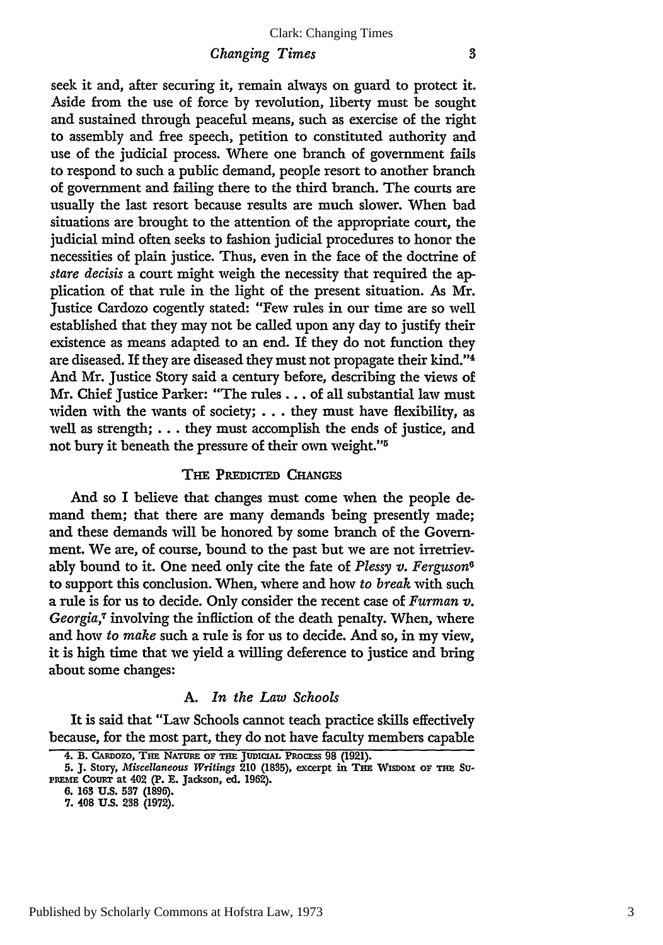#### *Changing Times*

seek it and, after securing it, remain always on guard to protect it. Aside from the use of force by revolution, liberty must be sought and sustained through peaceful means, such as exercise of the right to assembly and free speech, petition to constituted authority and use of the judicial process. Where one branch of government fails to respond to such a public demand, people resort to another branch of government and failing there to the third branch. The courts are usually the last resort because results are much slower. When bad situations are brought to the attention of the appropriate court, the judicial mind often seeks to fashion judicial procedures to honor the necessities of plain justice. Thus, even in the face of the doctrine of *stare decisis* a court might weigh the necessity that required the application of that rule in the light of the present situation. As Mr. Justice Cardozo cogently stated: "Few rules in our time are so well established that they may not be called upon any day to justify their existence as means adapted to an end. If they do not function they are diseased. If they are diseased they must not propagate their kind."' And Mr. Justice Story said a century before, describing the views of Mr. Chief Justice Parker: "The rules.., of all substantial law must widen with the wants of society; **...** they must have flexibility, as well as strength; **...** they must accomplish the ends of justice, and not bury it beneath the pressure of their own weight."<sup>5</sup>

### $T$ **HE PREDICTED CHANGES**

And so I believe that changes must come when the people demand them; that there are many demands being presently made; and these demands will be honored **by** some branch of the Government. We are, of course, bound to the past but we are not irretrievably bound to it. One need only cite the fate of *Plessy v. Ferguson6* to support this conclusion. When, where and how *to break* with such a rule is for us to decide. Only consider the recent case of *Furman v.* Georgia,<sup>7</sup> involving the infliction of the death penalty. When, where and how *to make* such a rule is for us to decide. And so, in my view, it is high time that we yield a willing deference to justice and bring about some changes:

#### **A.** *In the Law Schools*

It is said that "Law Schools cannot teach practice skills effectively because, for the most part, they do not have faculty members capable

**<sup>4.</sup> B. CARDOZO, THE NATURE OF THE JUDICIAL PROCESS 98 (1921).**<br>**5. J.** Story, *Miscellaneous Writings* 210 (1835), excerpt in THE WISDOM OF THE Su-

PREME COURT at 402 (P. E. Jackson, ed. 1962).

**<sup>6. 163</sup> U.S. 537 (1896).**

**<sup>7. 408</sup> U.S. 238 (1972).**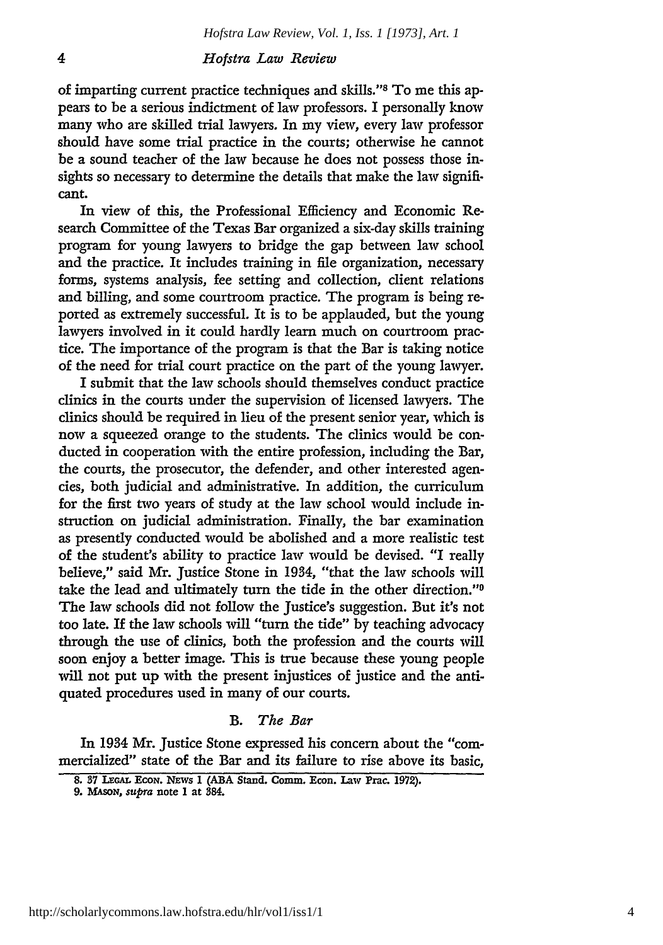of imparting current practice techniques and skills."s To me this appears to be a serious indictment of law professors. I personally know many who are skilled trial lawyers. In my view, every law professor should have some trial practice in the courts; otherwise he cannot be a sound teacher of the law because he does not possess those insights so necessary to determine the details that make the law significant.

In view of this, the Professional Efficiency and Economic Research Committee of the Texas Bar organized a six-day skills training program for young lawyers to bridge the gap between law school and the practice. It includes training in file organization, necessary forms, systems analysis, fee setting and collection, client relations and billing, and some courtroom practice. The program is being reported as extremely successful. It is to be applauded, but the young lawyers involved in it could hardly learn much on courtroom practice. The importance of the program is that the Bar is taking notice of the need for trial court practice on the part of the young lawyer.

I submit that the law schools should themselves conduct practice clinics in the courts under the supervision of licensed lawyers. The clinics should be required in lieu of the present senior year, which is now a squeezed orange to the students. The clinics would be conducted in cooperation with the entire profession, including the Bar, the courts, the prosecutor, the defender, and other interested agencies, both judicial and administrative. In addition, the curriculum for the first two years of study at the law school would include instruction on judicial administration. Finally, the bar examination as presently conducted would be abolished and a more realistic test of the student's ability to practice law would be devised. "I really believe," said Mr. Justice Stone in 1934, "that the law schools will take the lead and ultimately turn the tide in the other direction."0 The law schools did not follow the Justice's suggestion. But it's not too late. If the law schools will "turn the tide" by teaching advocacy through the use of clinics, both the profession and the courts will soon enjoy a better image. This is true because these young people will not put up with the present injustices of justice and the antiquated procedures used in many of our courts.

#### B. *The Bar*

In 1934 Mr. Justice Stone expressed his concern about the "commercialized" state of the Bar and its failure to rise above its basic,

**<sup>8. 37</sup> LEGAL EcoN. NEws 1 (ABA Stand. Comm. Econ. Law Prac. 1972).**

*<sup>9.</sup> MASON,* supra **note I at 384.**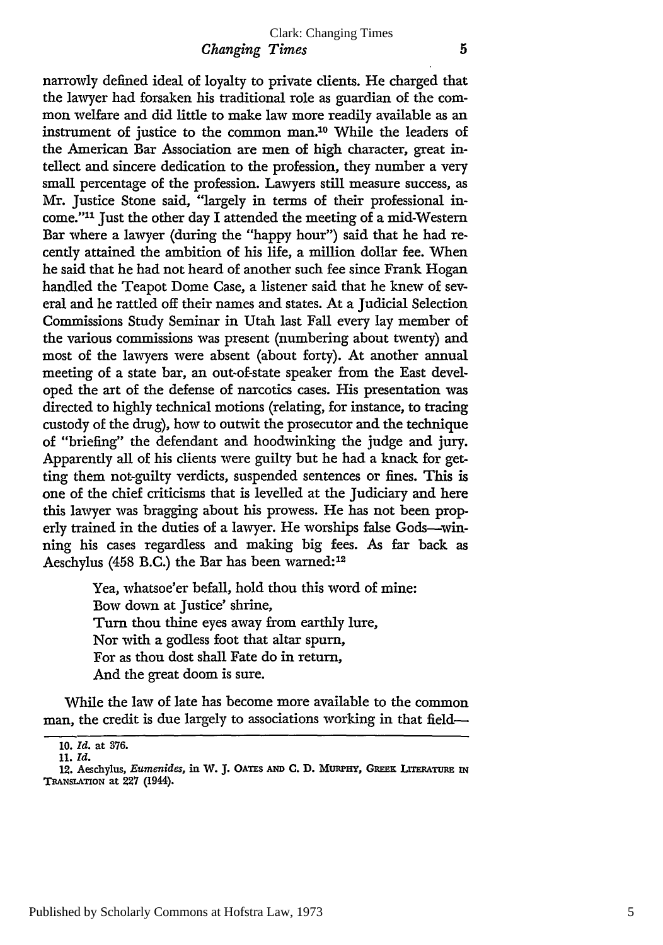narrowly defined ideal of loyalty to private clients. He charged that the lawyer had forsaken his traditional role as guardian of the common welfare and did little to make law more readily available as an instrument of justice to the common man.'0 While the leaders of the American Bar Association are men of high character, great intellect and sincere dedication to the profession, they number a very small percentage of the profession. Lawyers still measure success, as Mr. Justice Stone said, "largely in terms of their professional income."<sup>11</sup> Just the other day I attended the meeting of a mid-Western Bar where a lawyer (during the "happy hour") said that he had recently attained the ambition of his life, a million dollar fee. When he said that he had not heard of another such fee since Frank Hogan handled the Teapot Dome Case, a listener said that he knew of several and he rattled off their names and states. At a Judicial Selection Commissions Study Seminar in Utah last Fall every lay member of the various commissions was present (numbering about twenty) and most of the lawyers were absent (about forty). At another annual meeting of a state bar, an out-of-state speaker from the East developed the art of the defense of narcotics cases. His presentation was directed to highly technical motions (relating, for instance, to tracing custody of the drug), how to outwit the prosecutor and the technique of "briefing" the defendant and hoodwinking the judge and jury. Apparently all of his clients were guilty but he had a knack for getting them not-guilty verdicts, suspended sentences or fines. This is one of the chief criticisms that is levelled at the Judiciary and here this lawyer was bragging about his prowess. He has not been properly trained in the duties of a lawyer. He worships false Gods-winning his cases regardless and making big fees. As far back as Aeschylus (458 B.C.) the Bar has been warned:<sup>12</sup>

> Yea, whatsoe'er befall, hold thou this word of mine: Bow down at Justice' shrine, Turn thou thine eyes away from earthly lure, Nor with a godless foot that altar spurn, For as thou dost shall Fate do in return, And the great doom is sure.

While the law of late has become more available to the common man, the credit is due largely to associations working in that field-

**<sup>10.</sup>** *Id.* at **376.**

**<sup>11.</sup>** *Id.*

<sup>12.</sup> Aeschylus, *Eumenides*, in W. J. OATES AND C. D. MURPHY, GREEK LITERATURE IN **TRANSLATION at 227 (1944).**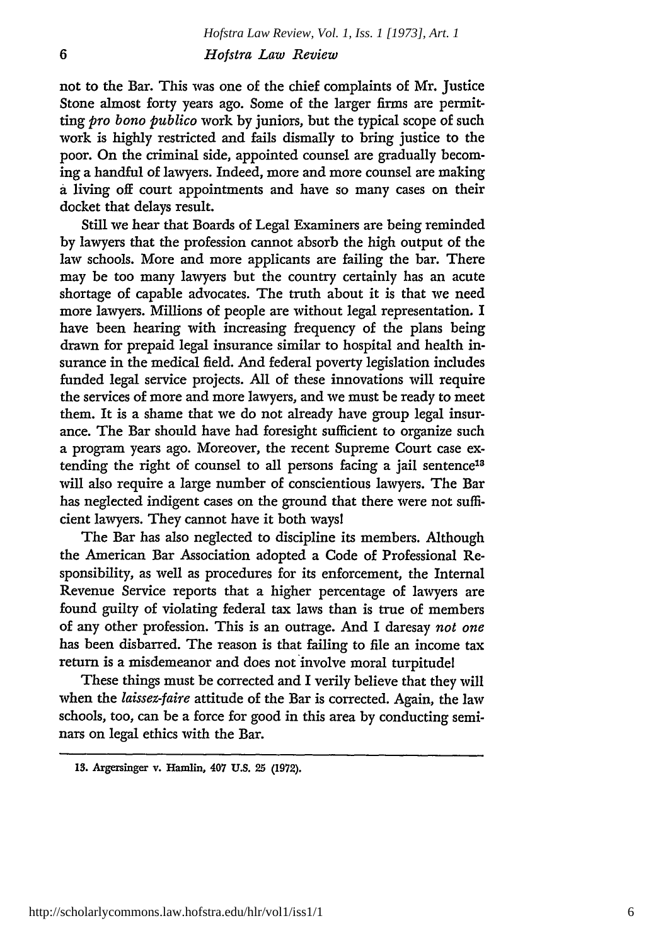not to the Bar. This was one of the chief complaints of Mr. Justice Stone almost forty years ago. Some of the larger firms are permitting *pro bono publico* work by juniors, but the typical scope of such work is highly restricted and fails dismally to bring justice to the poor. On the criminal side, appointed counsel are gradually becoming a handful of lawyers. Indeed, more and more counsel are making a living off court appointments and have so many cases on their docket that delays result.

Still we hear that Boards of Legal Examiners are being reminded by lawyers that the profession cannot absorb the high output of the law schools. More and more applicants are failing the bar. There may be too many lawyers but the country certainly has an acute shortage of capable advocates. The truth about it is that we need more lawyers. Millions of people are without legal representation. I have been hearing with increasing frequency of the plans being drawn for prepaid legal insurance similar to hospital and health insurance in the medical field. And federal poverty legislation includes funded legal service projects. All of these innovations will require the services of more and more lawyers, and we must be ready to meet them. It is a shame that we do not already have group legal insurance. The Bar should have had foresight sufficient to organize such a program years ago. Moreover, the recent Supreme Court case extending the right of counsel to all persons facing a jail sentence<sup>18</sup> will also require a large number of conscientious lawyers. The Bar has neglected indigent cases on the ground that there were not sufficient lawyers. They cannot have it both waysl

The Bar has also neglected to discipline its members. Although the American Bar Association adopted a Code of Professional Responsibility, as well as procedures for its enforcement, the Internal Revenue Service reports that a higher percentage of lawyers are found guilty of violating federal tax laws than is true of members of any other profession. This is an outrage. And I daresay *not one* has been disbarred. The reason is that failing to file an income tax return is a misdemeanor and does not involve moral turpitudel

These things must be corrected and I verily believe that they will when the *laissez-faire* attitude of the Bar is corrected. Again, the law schools, too, can be a force for good in this area by conducting seminars on legal ethics with the Bar.

**<sup>13.</sup>** Argersinger v. Hamlin, 407 **U.S.** 25 (1972).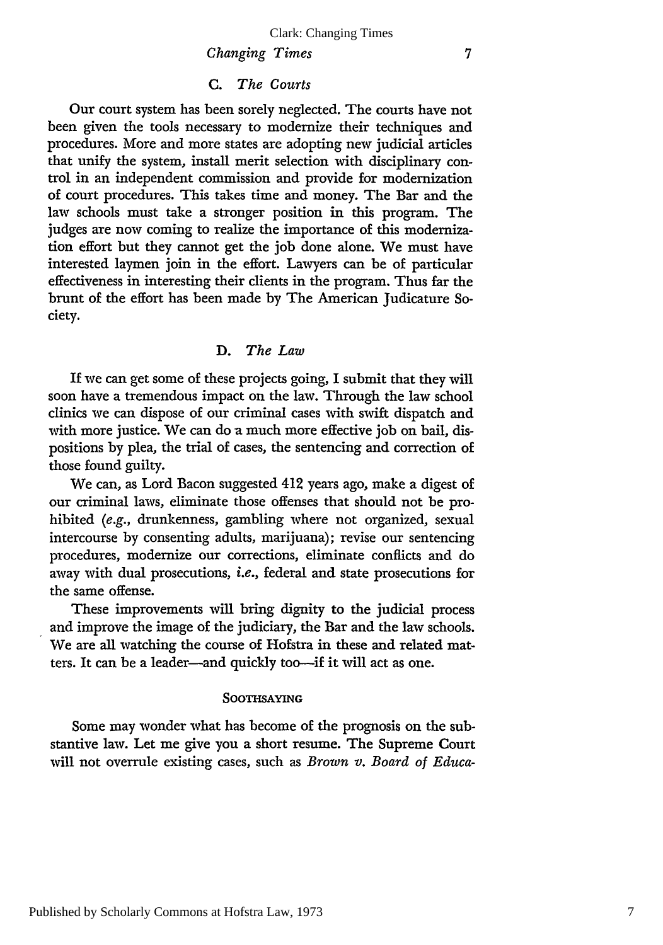#### *Changing Times*

#### C. *The Courts*

Our court system has been sorely neglected. The courts have not been given the tools necessary to modernize their techniques and procedures. More and more states are adopting new judicial articles that unify the system, install merit selection with disciplinary control in an independent commission and provide for modernization of court procedures. This takes time and money. The Bar and the law schools must take a stronger position in this program. The judges are now coming to realize the importance of this modernization effort but they cannot get the **job** done alone. We must have interested laymen join in the effort. Lawyers can be of particular effectiveness in interesting their clients in the program. Thus far the brunt of the effort has been made by The American Judicature Society.

#### D. *The Law*

If we can get some of these projects going, I submit that they will soon have a tremendous impact on the law. Through the law school clinics we can dispose of our criminal cases with swift dispatch and with more justice. We can do a much more effective **job** on bail, dispositions by plea, the trial of cases, the sentencing and correction of those found guilty.

We can, as Lord Bacon suggested 412 years ago, make a digest of our criminal laws, eliminate those offenses that should not be prohibited *(e.g.,* drunkenness, gambling where not organized, sexual intercourse by consenting adults, marijuana); revise our sentencing procedures, modernize our corrections, eliminate conflicts and do away with dual prosecutions, *i.e.,* federal and state prosecutions for the same offense.

These improvements will bring dignity to the judicial process and improve the image of the judiciary, the Bar and the law schools. We are all watching the course of Hofstra in these and related matters. It can be a leader-and quickly too-if it will act as one.

#### **SOOTHSAYING**

Some may wonder what has become of the prognosis on the substantive law. Let me give you a short resume. The Supreme Court will not overrule existing cases, such as *Brown v. Board of Educa-*